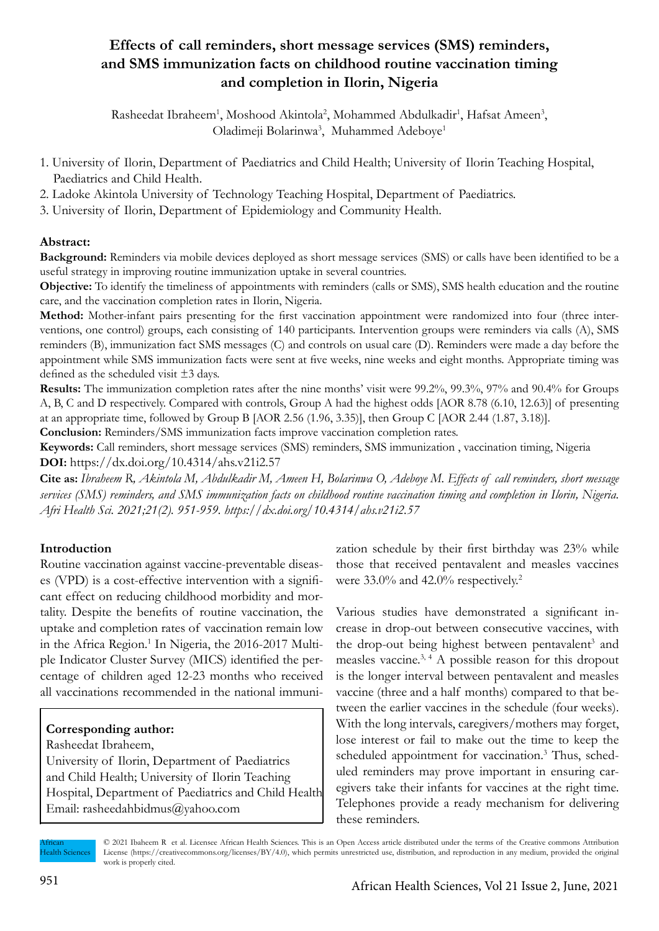# **Effects of call reminders, short message services (SMS) reminders, and SMS immunization facts on childhood routine vaccination timing and completion in Ilorin, Nigeria**

Rasheedat Ibraheem<sup>1</sup>, Moshood Akintola<sup>2</sup>, Mohammed Abdulkadir<sup>1</sup>, Hafsat Ameen<sup>3</sup>, Oladimeji Bolarinwa<sup>3</sup>, Muhammed Adeboye<sup>1</sup>

- 1. University of Ilorin, Department of Paediatrics and Child Health; University of Ilorin Teaching Hospital, Paediatrics and Child Health.
- 2. Ladoke Akintola University of Technology Teaching Hospital, Department of Paediatrics.
- 3. University of Ilorin, Department of Epidemiology and Community Health.

# **Abstract:**

**Background:** Reminders via mobile devices deployed as short message services (SMS) or calls have been identified to be a useful strategy in improving routine immunization uptake in several countries.

**Objective:** To identify the timeliness of appointments with reminders (calls or SMS), SMS health education and the routine care, and the vaccination completion rates in Ilorin, Nigeria.

**Method:** Mother-infant pairs presenting for the first vaccination appointment were randomized into four (three interventions, one control) groups, each consisting of 140 participants. Intervention groups were reminders via calls (A), SMS reminders (B), immunization fact SMS messages (C) and controls on usual care (D). Reminders were made a day before the appointment while SMS immunization facts were sent at five weeks, nine weeks and eight months. Appropriate timing was defined as the scheduled visit ±3 days.

**Results:** The immunization completion rates after the nine months' visit were 99.2%, 99.3%, 97% and 90.4% for Groups A, B, C and D respectively. Compared with controls, Group A had the highest odds [AOR 8.78 (6.10, 12.63)] of presenting at an appropriate time, followed by Group B [AOR 2.56 (1.96, 3.35)], then Group C [AOR 2.44 (1.87, 3.18)].

**Conclusion:** Reminders/SMS immunization facts improve vaccination completion rates.

**Keywords:** Call reminders, short message services (SMS) reminders, SMS immunization , vaccination timing, Nigeria **DOI:** https://dx.doi.org/10.4314/ahs.v21i2.57

**Cite as:** *Ibraheem R, Akintola M, Abdulkadir M, Ameen H, Bolarinwa O, Adeboye M. Effects of call reminders, short message services (SMS) reminders, and SMS immunization facts on childhood routine vaccination timing and completion in Ilorin, Nigeria. Afri Health Sci. 2021;21(2). 951-959. https://dx.doi.org/10.4314/ahs.v21i2.57*

# **Introduction**

Routine vaccination against vaccine-preventable diseases (VPD) is a cost-effective intervention with a significant effect on reducing childhood morbidity and mortality. Despite the benefits of routine vaccination, the uptake and completion rates of vaccination remain low in the Africa Region.<sup>1</sup> In Nigeria, the 2016-2017 Multiple Indicator Cluster Survey (MICS) identified the percentage of children aged 12-23 months who received all vaccinations recommended in the national immuni-

# **Corresponding author:**

Rasheedat Ibraheem, University of Ilorin, Department of Paediatrics and Child Health; University of Ilorin Teaching Hospital, Department of Paediatrics and Child Health Email: rasheedahbidmus@yahoo.com

zation schedule by their first birthday was 23% while those that received pentavalent and measles vaccines were 33.0% and 42.0% respectively.<sup>2</sup>

Various studies have demonstrated a significant increase in drop-out between consecutive vaccines, with the drop-out being highest between pentavalent<sup>3</sup> and measles vaccine.3, 4 A possible reason for this dropout is the longer interval between pentavalent and measles vaccine (three and a half months) compared to that between the earlier vaccines in the schedule (four weeks). With the long intervals, caregivers/mothers may forget, lose interest or fail to make out the time to keep the scheduled appointment for vaccination.<sup>3</sup> Thus, scheduled reminders may prove important in ensuring caregivers take their infants for vaccines at the right time. Telephones provide a ready mechanism for delivering these reminders.

African Health Sciences © 2021 Ibaheem R et al. Licensee African Health Sciences. This is an Open Access article distributed under the terms of the Creative commons Attribution License (https://creativecommons.org/licenses/BY/4.0), which permits unrestricted use, distribution, and reproduction in any medium, provided the original work is properly cited.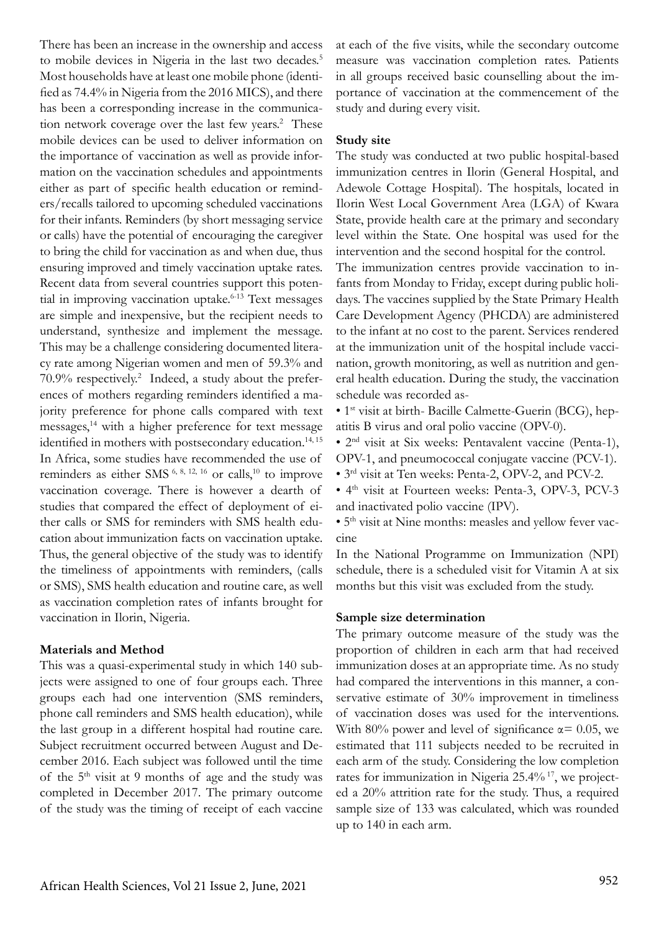There has been an increase in the ownership and access to mobile devices in Nigeria in the last two decades.<sup>5</sup> Most households have at least one mobile phone (identified as 74.4% in Nigeria from the 2016 MICS), and there has been a corresponding increase in the communication network coverage over the last few years.<sup>2</sup> These mobile devices can be used to deliver information on the importance of vaccination as well as provide information on the vaccination schedules and appointments either as part of specific health education or reminders/recalls tailored to upcoming scheduled vaccinations for their infants. Reminders (by short messaging service or calls) have the potential of encouraging the caregiver to bring the child for vaccination as and when due, thus ensuring improved and timely vaccination uptake rates. Recent data from several countries support this potential in improving vaccination uptake.<sup>6-13</sup> Text messages are simple and inexpensive, but the recipient needs to understand, synthesize and implement the message. This may be a challenge considering documented literacy rate among Nigerian women and men of 59.3% and 70.9% respectively.<sup>2</sup> Indeed, a study about the preferences of mothers regarding reminders identified a majority preference for phone calls compared with text messages,14 with a higher preference for text message identified in mothers with postsecondary education.<sup>14, 15</sup> In Africa, some studies have recommended the use of reminders as either SMS  $^{6, 8, 12, 16}$  or calls,<sup>10</sup> to improve vaccination coverage. There is however a dearth of studies that compared the effect of deployment of either calls or SMS for reminders with SMS health education about immunization facts on vaccination uptake. Thus, the general objective of the study was to identify the timeliness of appointments with reminders, (calls or SMS), SMS health education and routine care, as well as vaccination completion rates of infants brought for vaccination in Ilorin, Nigeria.

# **Materials and Method**

This was a quasi-experimental study in which 140 subjects were assigned to one of four groups each. Three groups each had one intervention (SMS reminders, phone call reminders and SMS health education), while the last group in a different hospital had routine care. Subject recruitment occurred between August and December 2016. Each subject was followed until the time of the  $5<sup>th</sup>$  visit at 9 months of age and the study was completed in December 2017. The primary outcome of the study was the timing of receipt of each vaccine at each of the five visits, while the secondary outcome measure was vaccination completion rates. Patients in all groups received basic counselling about the importance of vaccination at the commencement of the study and during every visit.

### **Study site**

The study was conducted at two public hospital-based immunization centres in Ilorin (General Hospital, and Adewole Cottage Hospital). The hospitals, located in Ilorin West Local Government Area (LGA) of Kwara State, provide health care at the primary and secondary level within the State. One hospital was used for the intervention and the second hospital for the control.

The immunization centres provide vaccination to infants from Monday to Friday, except during public holidays. The vaccines supplied by the State Primary Health Care Development Agency (PHCDA) are administered to the infant at no cost to the parent. Services rendered at the immunization unit of the hospital include vaccination, growth monitoring, as well as nutrition and general health education. During the study, the vaccination schedule was recorded as-

• 1st visit at birth- Bacille Calmette-Guerin (BCG), hepatitis B virus and oral polio vaccine (OPV-0).

- 2nd visit at Six weeks: Pentavalent vaccine (Penta-1), OPV-1, and pneumococcal conjugate vaccine (PCV-1).
- 3rd visit at Ten weeks: Penta-2, OPV-2, and PCV-2.
- 4<sup>th</sup> visit at Fourteen weeks: Penta-3, OPV-3, PCV-3 and inactivated polio vaccine (IPV).
- 5<sup>th</sup> visit at Nine months: measles and yellow fever vaccine

In the National Programme on Immunization (NPI) schedule, there is a scheduled visit for Vitamin A at six months but this visit was excluded from the study.

### **Sample size determination**

The primary outcome measure of the study was the proportion of children in each arm that had received immunization doses at an appropriate time. As no study had compared the interventions in this manner, a conservative estimate of 30% improvement in timeliness of vaccination doses was used for the interventions. With 80% power and level of significance  $\alpha$  = 0.05, we estimated that 111 subjects needed to be recruited in each arm of the study. Considering the low completion rates for immunization in Nigeria 25.4% 17, we projected a 20% attrition rate for the study. Thus, a required sample size of 133 was calculated, which was rounded up to 140 in each arm.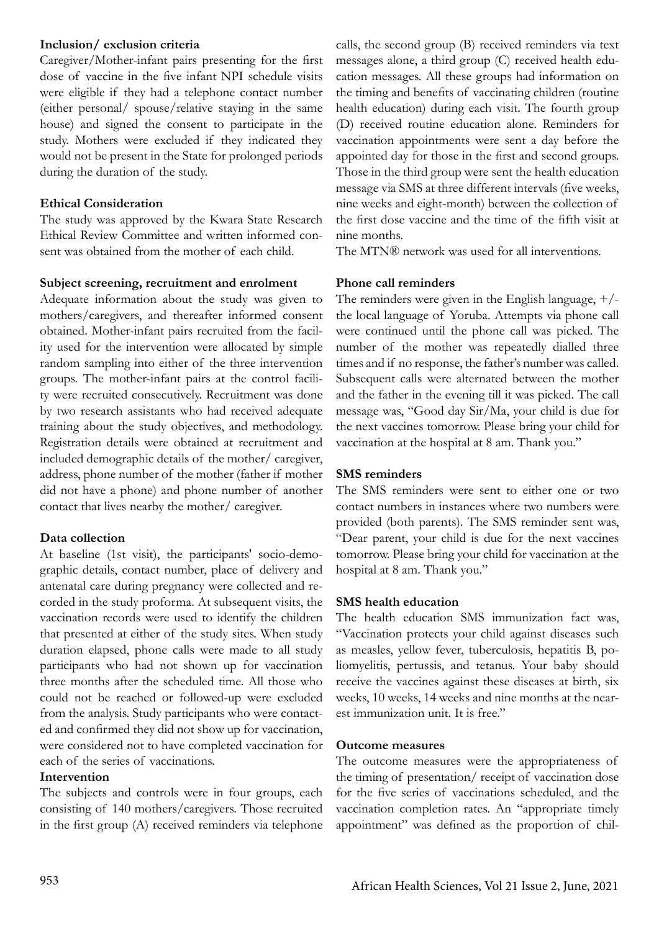### **Inclusion/ exclusion criteria**

Caregiver/Mother-infant pairs presenting for the first dose of vaccine in the five infant NPI schedule visits were eligible if they had a telephone contact number (either personal/ spouse/relative staying in the same house) and signed the consent to participate in the study. Mothers were excluded if they indicated they would not be present in the State for prolonged periods during the duration of the study.

### **Ethical Consideration**

The study was approved by the Kwara State Research Ethical Review Committee and written informed consent was obtained from the mother of each child.

#### **Subject screening, recruitment and enrolment**

Adequate information about the study was given to mothers/caregivers, and thereafter informed consent obtained. Mother-infant pairs recruited from the facility used for the intervention were allocated by simple random sampling into either of the three intervention groups. The mother-infant pairs at the control facility were recruited consecutively. Recruitment was done by two research assistants who had received adequate training about the study objectives, and methodology. Registration details were obtained at recruitment and included demographic details of the mother/ caregiver, address, phone number of the mother (father if mother did not have a phone) and phone number of another contact that lives nearby the mother/ caregiver.

### **Data collection**

At baseline (1st visit), the participants' socio-demographic details, contact number, place of delivery and antenatal care during pregnancy were collected and recorded in the study proforma. At subsequent visits, the vaccination records were used to identify the children that presented at either of the study sites. When study duration elapsed, phone calls were made to all study participants who had not shown up for vaccination three months after the scheduled time. All those who could not be reached or followed-up were excluded from the analysis. Study participants who were contacted and confirmed they did not show up for vaccination, were considered not to have completed vaccination for each of the series of vaccinations.

### **Intervention**

The subjects and controls were in four groups, each consisting of 140 mothers/caregivers. Those recruited in the first group (A) received reminders via telephone calls, the second group (B) received reminders via text messages alone, a third group (C) received health education messages. All these groups had information on the timing and benefits of vaccinating children (routine health education) during each visit. The fourth group (D) received routine education alone. Reminders for vaccination appointments were sent a day before the appointed day for those in the first and second groups. Those in the third group were sent the health education message via SMS at three different intervals (five weeks, nine weeks and eight-month) between the collection of the first dose vaccine and the time of the fifth visit at nine months.

The MTN® network was used for all interventions.

# **Phone call reminders**

The reminders were given in the English language,  $+/$ the local language of Yoruba. Attempts via phone call were continued until the phone call was picked. The number of the mother was repeatedly dialled three times and if no response, the father's number was called. Subsequent calls were alternated between the mother and the father in the evening till it was picked. The call message was, "Good day Sir/Ma, your child is due for the next vaccines tomorrow. Please bring your child for vaccination at the hospital at 8 am. Thank you."

# **SMS reminders**

The SMS reminders were sent to either one or two contact numbers in instances where two numbers were provided (both parents). The SMS reminder sent was, "Dear parent, your child is due for the next vaccines tomorrow. Please bring your child for vaccination at the hospital at 8 am. Thank you."

### **SMS health education**

The health education SMS immunization fact was, "Vaccination protects your child against diseases such as measles, yellow fever, tuberculosis, hepatitis B, poliomyelitis, pertussis, and tetanus. Your baby should receive the vaccines against these diseases at birth, six weeks, 10 weeks, 14 weeks and nine months at the nearest immunization unit. It is free."

### **Outcome measures**

The outcome measures were the appropriateness of the timing of presentation/ receipt of vaccination dose for the five series of vaccinations scheduled, and the vaccination completion rates. An "appropriate timely appointment" was defined as the proportion of chil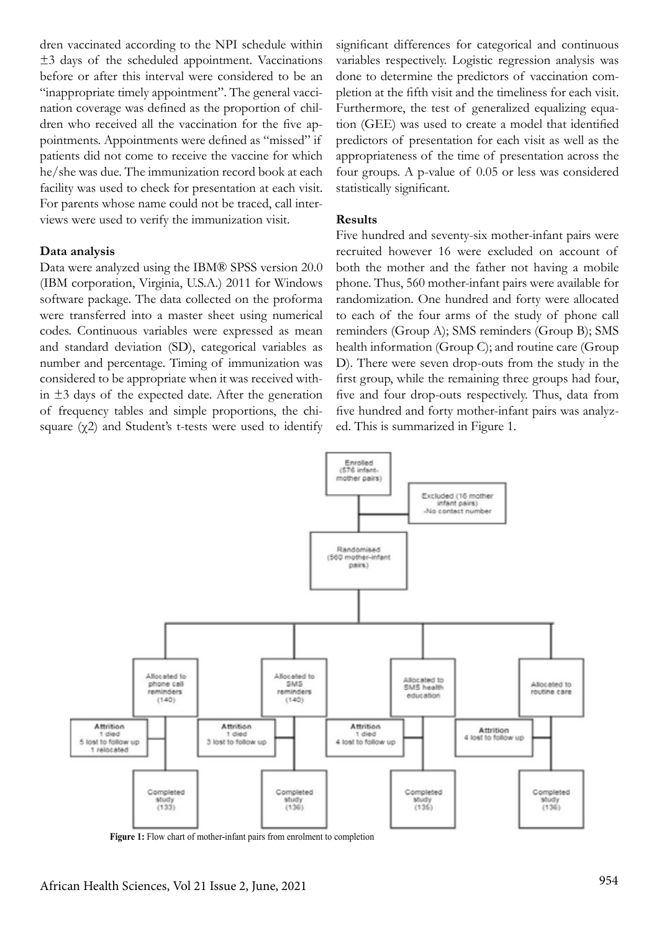dren vaccinated according to the NPI schedule within ±3 days of the scheduled appointment. Vaccinations before or after this interval were considered to be an "inappropriate timely appointment". The general vaccination coverage was defined as the proportion of children who received all the vaccination for the five appointments. Appointments were defined as "missed" if patients did not come to receive the vaccine for which he/she was due. The immunization record book at each facility was used to check for presentation at each visit. For parents whose name could not be traced, call interviews were used to verify the immunization visit.

#### **Data analysis**

Data were analyzed using the IBM® SPSS version 20.0 (IBM corporation, Virginia, U.S.A.) 2011 for Windows software package. The data collected on the proforma were transferred into a master sheet using numerical codes. Continuous variables were expressed as mean and standard deviation (SD), categorical variables as number and percentage. Timing of immunization was considered to be appropriate when it was received within  $\pm$ 3 days of the expected date. After the generation of frequency tables and simple proportions, the chisquare  $(\gamma 2)$  and Student's t-tests were used to identify significant differences for categorical and continuous variables respectively. Logistic regression analysis was done to determine the predictors of vaccination completion at the fifth visit and the timeliness for each visit. Furthermore, the test of generalized equalizing equation (GEE) was used to create a model that identified predictors of presentation for each visit as well as the appropriateness of the time of presentation across the four groups. A p-value of 0.05 or less was considered statistically significant.

#### **Results**

Five hundred and seventy-six mother-infant pairs were recruited however 16 were excluded on account of both the mother and the father not having a mobile phone. Thus, 560 mother-infant pairs were available for randomization. One hundred and forty were allocated to each of the four arms of the study of phone call reminders (Group A); SMS reminders (Group B); SMS health information (Group C); and routine care (Group D). There were seven drop-outs from the study in the first group, while the remaining three groups had four, five and four drop-outs respectively. Thus, data from five hundred and forty mother-infant pairs was analyzed. This is summarized in Figure 1.



Figure 1: Flow chart of mother-infant pairs from enrolment to completion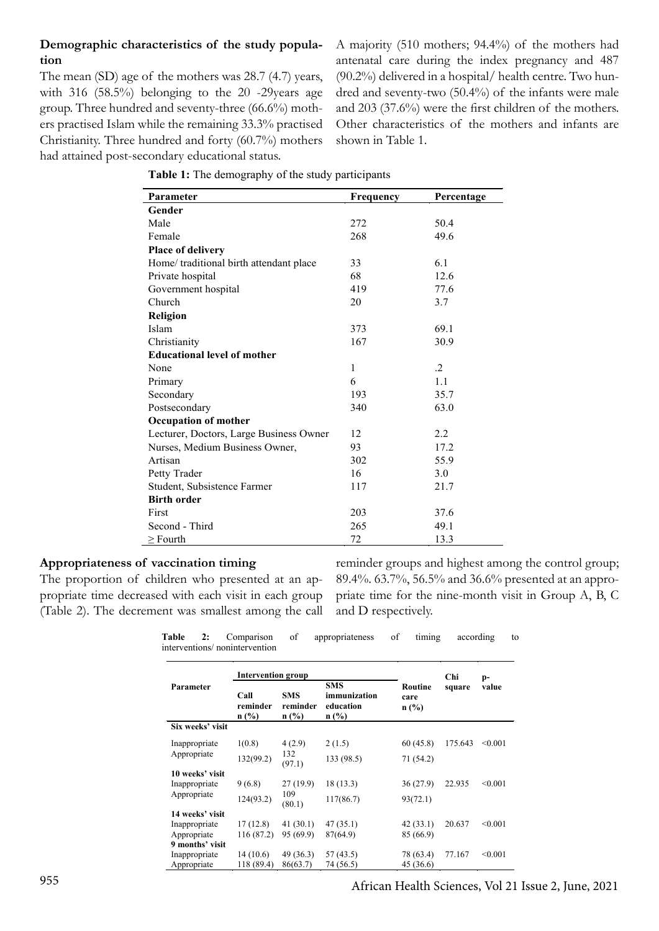# **Demographic characteristics of the study population**

The mean (SD) age of the mothers was 28.7 (4.7) years, with 316  $(58.5\%)$  belonging to the 20 -29 years age group. Three hundred and seventy-three (66.6%) mothers practised Islam while the remaining 33.3% practised Christianity. Three hundred and forty (60.7%) mothers had attained post-secondary educational status.

A majority (510 mothers; 94.4%) of the mothers had antenatal care during the index pregnancy and 487 (90.2%) delivered in a hospital/ health centre. Two hundred and seventy-two (50.4%) of the infants were male and 203 (37.6%) were the first children of the mothers. Other characteristics of the mothers and infants are shown in Table 1.

| Parameter                               | <b>Frequency</b> | Percentage |
|-----------------------------------------|------------------|------------|
| Gender                                  |                  |            |
| Male                                    | 272              | 50.4       |
| Female                                  | 268              | 49.6       |
| Place of delivery                       |                  |            |
| Home/ traditional birth attendant place | 33               | 6.1        |
| Private hospital                        | 68               | 12.6       |
| Government hospital                     | 419              | 77.6       |
| Church                                  | 20               | 3.7        |
| <b>Religion</b>                         |                  |            |
| Islam                                   | 373              | 69.1       |
| Christianity                            | 167              | 30.9       |
| <b>Educational level of mother</b>      |                  |            |
| None                                    | $\mathbf{1}$     | $\cdot$ 2  |
| Primary                                 | 6                | 1.1        |
| Secondary                               | 193              | 35.7       |
| Postsecondary                           | 340              | 63.0       |
| <b>Occupation of mother</b>             |                  |            |
| Lecturer, Doctors, Large Business Owner | 12               | 2.2        |
| Nurses, Medium Business Owner,          | 93               | 17.2       |
| Artisan                                 | 302              | 55.9       |
| Petty Trader                            | 16               | 3.0        |
| Student, Subsistence Farmer             | 117              | 21.7       |
| <b>Birth order</b>                      |                  |            |
| First                                   | 203              | 37.6       |
| Second - Third                          | 265              | 49.1       |
| $\geq$ Fourth                           | 72               | 13.3       |

**Table 1:** The demography of the study participants

### **Appropriateness of vaccination timing**

The proportion of children who presented at an appropriate time decreased with each visit in each group (Table 2). The decrement was smallest among the call

reminder groups and highest among the control group; 89.4%. 63.7%, 56.5% and 36.6% presented at an appropriate time for the nine-month visit in Group A, B, C and D respectively.

**Table 2:** Comparison of appropriateness of timing according to interventions/ nonintervention

|                  | <b>Intervention group</b>   |                                   |                                                    |                         | Chi     | p-      |
|------------------|-----------------------------|-----------------------------------|----------------------------------------------------|-------------------------|---------|---------|
| Parameter        | Call<br>reminder<br>$n$ (%) | <b>SMS</b><br>reminder<br>$n$ (%) | <b>SMS</b><br>immunization<br>education<br>$n$ (%) | Routine<br>care<br>n(%) |         | value   |
| Six weeks' visit |                             |                                   |                                                    |                         |         |         |
| Inappropriate    | 1(0.8)                      | 4(2.9)                            | 2(1.5)                                             | 60(45.8)                | 175.643 | < 0.001 |
| Appropriate      | 132(99.2)                   | 132<br>(97.1)                     | 133 (98.5)                                         | 71 (54.2)               |         |         |
| 10 weeks' visit  |                             |                                   |                                                    |                         |         |         |
| Inappropriate    | 9(6.8)                      | 27(19.9)                          | 18(13.3)                                           | 36(27.9)                | 22.935  | < 0.001 |
| Appropriate      | 124(93.2)                   | 109<br>(80.1)                     | 117(86.7)                                          | 93(72.1)                |         |         |
| 14 weeks' visit  |                             |                                   |                                                    |                         |         |         |
| Inappropriate    | 17(12.8)                    | 41(30.1)                          | 47(35.1)                                           | 42(33.1)                | 20.637  | < 0.001 |
| Appropriate      | 116 (87.2)                  | 95(69.9)                          | 87(64.9)                                           | 85 (66.9)               |         |         |
| 9 months' visit  |                             |                                   |                                                    |                         |         |         |
| Inappropriate    | 14(10.6)                    | 49 (36.3)                         | 57 (43.5)                                          | 78 (63.4)               | 77.167  | < 0.001 |
| Appropriate      | 118 (89.4)                  | 86(63.7)                          | 74 (56.5)                                          | 45 (36.6)               |         |         |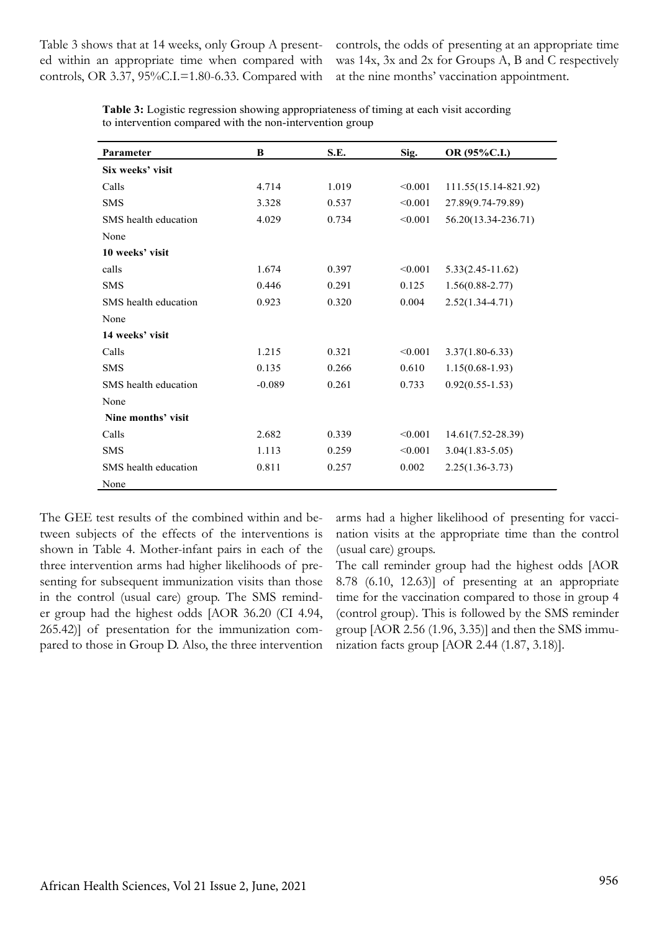Table 3 shows that at 14 weeks, only Group A presented within an appropriate time when compared with controls, OR 3.37, 95%C.I.=1.80-6.33. Compared with

controls, the odds of presenting at an appropriate time was 14x, 3x and 2x for Groups A, B and C respectively at the nine months' vaccination appointment.

| Parameter            | B        | S.E.  | Sig.    | OR (95%C.I.)         |
|----------------------|----------|-------|---------|----------------------|
| Six weeks' visit     |          |       |         |                      |
| Calls                | 4.714    | 1.019 | < 0.001 | 111.55(15.14-821.92) |
| <b>SMS</b>           | 3.328    | 0.537 | < 0.001 | 27.89(9.74-79.89)    |
| SMS health education | 4.029    | 0.734 | < 0.001 | 56.20(13.34-236.71)  |
| None                 |          |       |         |                      |
| 10 weeks' visit      |          |       |         |                      |
| calls                | 1.674    | 0.397 | < 0.001 | $5.33(2.45 - 11.62)$ |
| <b>SMS</b>           | 0.446    | 0.291 | 0.125   | $1.56(0.88 - 2.77)$  |
| SMS health education | 0.923    | 0.320 | 0.004   | $2.52(1.34 - 4.71)$  |
| None                 |          |       |         |                      |
| 14 weeks' visit      |          |       |         |                      |
| Calls                | 1.215    | 0.321 | < 0.001 | $3.37(1.80-6.33)$    |
| <b>SMS</b>           | 0.135    | 0.266 | 0.610   | $1.15(0.68-1.93)$    |
| SMS health education | $-0.089$ | 0.261 | 0.733   | $0.92(0.55-1.53)$    |
| None                 |          |       |         |                      |
| Nine months' visit   |          |       |         |                      |
| Calls                | 2.682    | 0.339 | < 0.001 | 14.61(7.52-28.39)    |
| <b>SMS</b>           | 1.113    | 0.259 | < 0.001 | $3.04(1.83 - 5.05)$  |
| SMS health education | 0.811    | 0.257 | 0.002   | $2.25(1.36 - 3.73)$  |
| None                 |          |       |         |                      |

**Table 3:** Logistic regression showing appropriateness of timing at each visit according to intervention compared with the non-intervention group

The GEE test results of the combined within and between subjects of the effects of the interventions is shown in Table 4. Mother-infant pairs in each of the three intervention arms had higher likelihoods of presenting for subsequent immunization visits than those in the control (usual care) group. The SMS reminder group had the highest odds [AOR 36.20 (CI 4.94, 265.42)] of presentation for the immunization compared to those in Group D. Also, the three intervention

arms had a higher likelihood of presenting for vaccination visits at the appropriate time than the control (usual care) groups.

The call reminder group had the highest odds [AOR 8.78 (6.10, 12.63)] of presenting at an appropriate time for the vaccination compared to those in group 4 (control group). This is followed by the SMS reminder group [AOR 2.56 (1.96, 3.35)] and then the SMS immunization facts group [AOR 2.44 (1.87, 3.18)].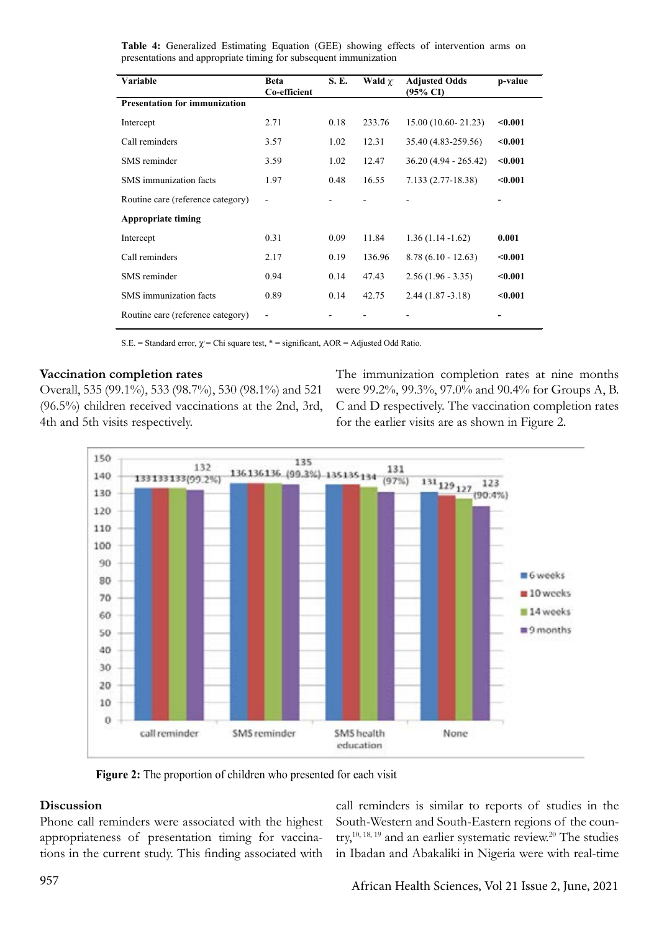| Variable                             | <b>Beta</b><br>Co-efficient | S. E. | <b>Wald</b> $\chi^2$ | <b>Adjusted Odds</b><br>(95% CI) | p-value |
|--------------------------------------|-----------------------------|-------|----------------------|----------------------------------|---------|
| <b>Presentation for immunization</b> |                             |       |                      |                                  |         |
| Intercept                            | 2.71                        | 0.18  | 233.76               | $15.00(10.60 - 21.23)$           | $0.001$ |
| Call reminders                       | 3.57                        | 1.02  | 12.31                | 35.40 (4.83-259.56)              | $0.001$ |
| SMS reminder                         | 3.59                        | 1.02  | 12.47                | $36.20(4.94 - 265.42)$           | < 0.001 |
| SMS immunization facts               | 1.97                        | 0.48  | 16.55                | $7.133(2.77-18.38)$              | < 0.001 |
| Routine care (reference category)    | $\overline{\phantom{a}}$    |       |                      |                                  |         |
| <b>Appropriate timing</b>            |                             |       |                      |                                  |         |
| Intercept                            | 0.31                        | 0.09  | 11.84                | $1.36(1.14 - 1.62)$              | 0.001   |
| Call reminders                       | 2.17                        | 0.19  | 136.96               | $8.78(6.10 - 12.63)$             | $0.001$ |
| SMS reminder                         | 0.94                        | 0.14  | 47.43                | $2.56(1.96 - 3.35)$              | $0.001$ |
| SMS immunization facts               | 0.89                        | 0.14  | 42.75                | $2.44(1.87 - 3.18)$              | $0.001$ |
| Routine care (reference category)    | $\qquad \qquad -$           |       |                      |                                  |         |

**Table 4:** Generalized Estimating Equation (GEE) showing effects of intervention arms on presentations and appropriate timing for subsequent immunization

S.E. = Standard error,  $\chi$  = Chi square test,  $*$  = significant, AOR = Adjusted Odd Ratio.

#### **Vaccination completion rates**

Overall, 535 (99.1%), 533 (98.7%), 530 (98.1%) and 521 (96.5%) children received vaccinations at the 2nd, 3rd, 4th and 5th visits respectively.

The immunization completion rates at nine months were 99.2%, 99.3%, 97.0% and 90.4% for Groups A, B. C and D respectively. The vaccination completion rates for the earlier visits are as shown in Figure 2.



**Figure 2:** The proportion of children who presented for each visit

### **Discussion**

Phone call reminders were associated with the highest appropriateness of presentation timing for vaccinations in the current study. This finding associated with

call reminders is similar to reports of studies in the South-Western and South-Eastern regions of the coun- $\text{try},^{10, 18, 19}$  and an earlier systematic review.<sup>20</sup> The studies in Ibadan and Abakaliki in Nigeria were with real-time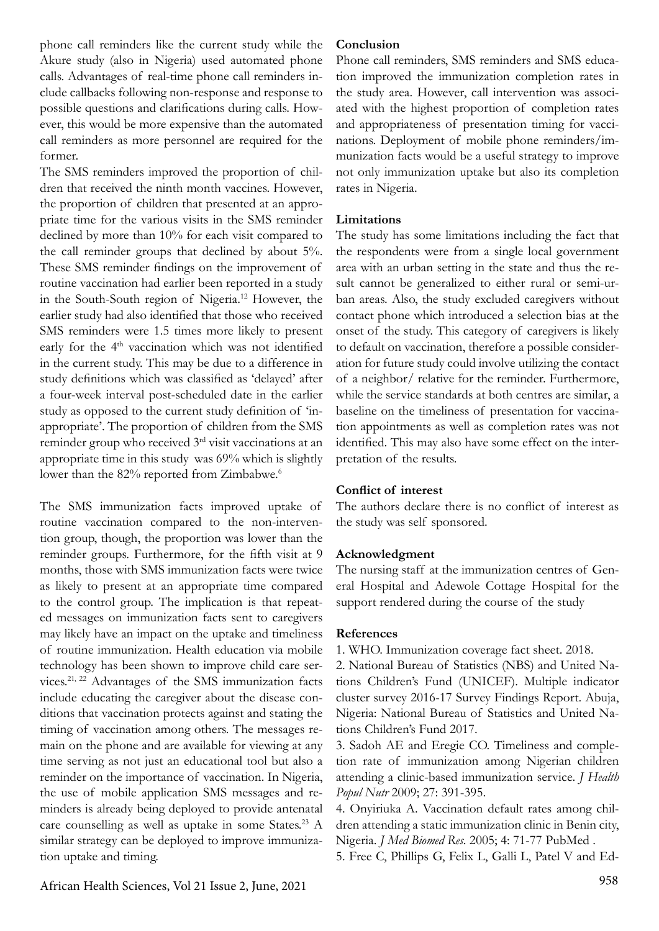phone call reminders like the current study while the Akure study (also in Nigeria) used automated phone calls. Advantages of real-time phone call reminders include callbacks following non-response and response to possible questions and clarifications during calls. However, this would be more expensive than the automated call reminders as more personnel are required for the former.

The SMS reminders improved the proportion of children that received the ninth month vaccines. However, the proportion of children that presented at an appropriate time for the various visits in the SMS reminder declined by more than 10% for each visit compared to the call reminder groups that declined by about 5%. These SMS reminder findings on the improvement of routine vaccination had earlier been reported in a study in the South-South region of Nigeria.12 However, the earlier study had also identified that those who received SMS reminders were 1.5 times more likely to present early for the 4<sup>th</sup> vaccination which was not identified in the current study. This may be due to a difference in study definitions which was classified as 'delayed' after a four-week interval post-scheduled date in the earlier study as opposed to the current study definition of 'inappropriate'. The proportion of children from the SMS reminder group who received 3rd visit vaccinations at an appropriate time in this study was 69% which is slightly lower than the 82% reported from Zimbabwe.<sup>6</sup>

The SMS immunization facts improved uptake of routine vaccination compared to the non-intervention group, though, the proportion was lower than the reminder groups. Furthermore, for the fifth visit at 9 months, those with SMS immunization facts were twice as likely to present at an appropriate time compared to the control group. The implication is that repeated messages on immunization facts sent to caregivers may likely have an impact on the uptake and timeliness of routine immunization. Health education via mobile technology has been shown to improve child care services.21, 22 Advantages of the SMS immunization facts include educating the caregiver about the disease conditions that vaccination protects against and stating the timing of vaccination among others. The messages remain on the phone and are available for viewing at any time serving as not just an educational tool but also a reminder on the importance of vaccination. In Nigeria, the use of mobile application SMS messages and reminders is already being deployed to provide antenatal care counselling as well as uptake in some States.23 A similar strategy can be deployed to improve immunization uptake and timing.

### **Conclusion**

Phone call reminders, SMS reminders and SMS education improved the immunization completion rates in the study area. However, call intervention was associated with the highest proportion of completion rates and appropriateness of presentation timing for vaccinations. Deployment of mobile phone reminders/immunization facts would be a useful strategy to improve not only immunization uptake but also its completion rates in Nigeria.

#### **Limitations**

The study has some limitations including the fact that the respondents were from a single local government area with an urban setting in the state and thus the result cannot be generalized to either rural or semi-urban areas. Also, the study excluded caregivers without contact phone which introduced a selection bias at the onset of the study. This category of caregivers is likely to default on vaccination, therefore a possible consideration for future study could involve utilizing the contact of a neighbor/ relative for the reminder. Furthermore, while the service standards at both centres are similar, a baseline on the timeliness of presentation for vaccination appointments as well as completion rates was not identified. This may also have some effect on the interpretation of the results.

#### **Conflict of interest**

The authors declare there is no conflict of interest as the study was self sponsored.

#### **Acknowledgment**

The nursing staff at the immunization centres of General Hospital and Adewole Cottage Hospital for the support rendered during the course of the study

#### **References**

1. WHO. Immunization coverage fact sheet. 2018.

2. National Bureau of Statistics (NBS) and United Nations Children's Fund (UNICEF). Multiple indicator cluster survey 2016-17 Survey Findings Report. Abuja, Nigeria: National Bureau of Statistics and United Nations Children's Fund 2017.

3. Sadoh AE and Eregie CO. Timeliness and completion rate of immunization among Nigerian children attending a clinic-based immunization service. *J Health Popul Nutr* 2009; 27: 391-395.

4. Onyiriuka A. Vaccination default rates among children attending a static immunization clinic in Benin city, Nigeria. *J Med Biomed Res*. 2005; 4: 71-77 PubMed .

5. Free C, Phillips G, Felix L, Galli L, Patel V and Ed-